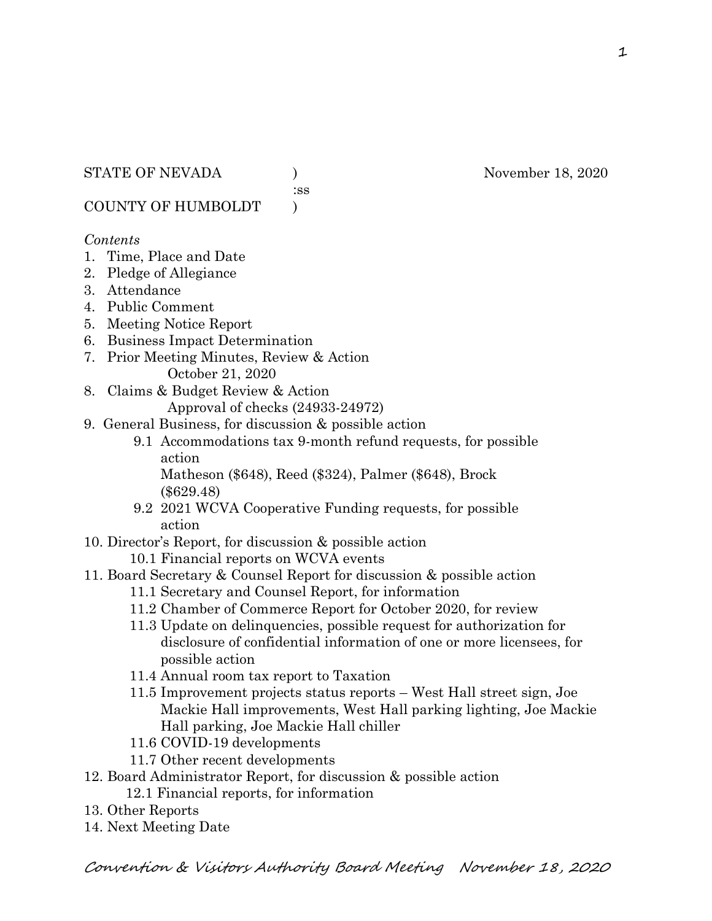:ss

COUNTY OF HUMBOLDT )

#### *Contents*

- 1. Time, Place and Date
- 2. Pledge of Allegiance
- 3. Attendance
- 4. Public Comment
- 5. Meeting Notice Report
- 6. Business Impact Determination
- 7. Prior Meeting Minutes, Review & Action October 21, 2020
- 8. Claims & Budget Review & Action

Approval of checks (24933-24972)

- 9. General Business, for discussion & possible action
	- 9.1 Accommodations tax 9-month refund requests, for possible action

 Matheson (\$648), Reed (\$324), Palmer (\$648), Brock (\$629.48)

- 9.2 2021 WCVA Cooperative Funding requests, for possible action
- 10. Director's Report, for discussion & possible action
	- 10.1 Financial reports on WCVA events
- 11. Board Secretary & Counsel Report for discussion & possible action
	- 11.1 Secretary and Counsel Report, for information
	- 11.2 Chamber of Commerce Report for October 2020, for review
	- 11.3 Update on delinquencies, possible request for authorization for disclosure of confidential information of one or more licensees, for possible action
	- 11.4 Annual room tax report to Taxation
	- 11.5 Improvement projects status reports West Hall street sign, Joe Mackie Hall improvements, West Hall parking lighting, Joe Mackie Hall parking, Joe Mackie Hall chiller
	- 11.6 COVID-19 developments
	- 11.7 Other recent developments
- 12. Board Administrator Report, for discussion & possible action
	- 12.1 Financial reports, for information
- 13. Other Reports
- 14. Next Meeting Date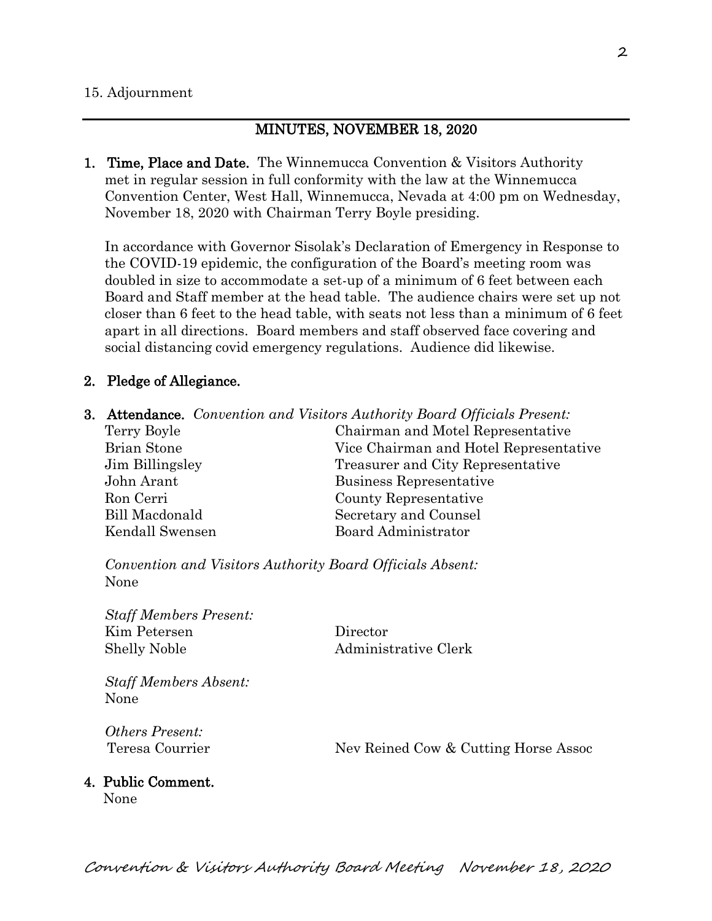#### MINUTES, NOVEMBER 18, 2020

1. Time, Place and Date. The Winnemucca Convention & Visitors Authority met in regular session in full conformity with the law at the Winnemucca Convention Center, West Hall, Winnemucca, Nevada at 4:00 pm on Wednesday, November 18, 2020 with Chairman Terry Boyle presiding.

In accordance with Governor Sisolak's Declaration of Emergency in Response to the COVID-19 epidemic, the configuration of the Board's meeting room was doubled in size to accommodate a set-up of a minimum of 6 feet between each Board and Staff member at the head table. The audience chairs were set up not closer than 6 feet to the head table, with seats not less than a minimum of 6 feet apart in all directions. Board members and staff observed face covering and social distancing covid emergency regulations. Audience did likewise.

#### 2. Pledge of Allegiance.

3. Attendance. *Convention and Visitors Authority Board Officials Present:*

Terry Boyle Chairman and Motel Representative Brian Stone Vice Chairman and Hotel Representative Jim Billingsley Treasurer and City Representative John Arant Business Representative Ron Cerri County Representative Bill Macdonald Secretary and Counsel Kendall Swensen Board Administrator

*Convention and Visitors Authority Board Officials Absent:* None

*Staff Members Present:* Kim Petersen Director Shelly Noble Administrative Clerk

*Staff Members Absent:* None

*Others Present:*

Teresa Courrier Nev Reined Cow & Cutting Horse Assoc

# 4. Public Comment.

None

2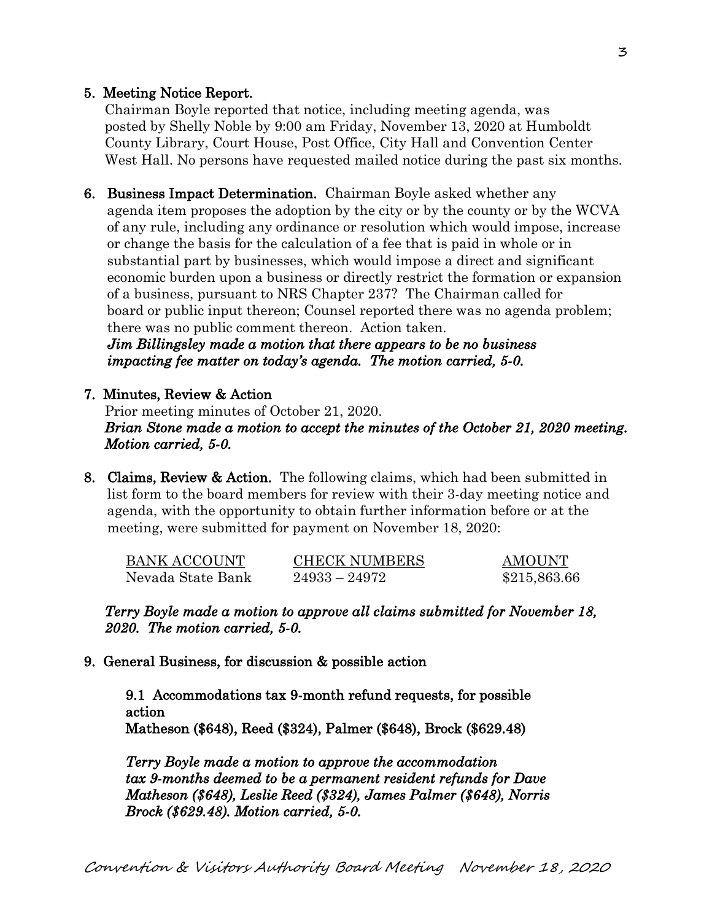# 5. Meeting Notice Report.

Chairman Boyle reported that notice, including meeting agenda, was posted by Shelly Noble by 9:00 am Friday, November 13, 2020 at Humboldt County Library, Court House, Post Office, City Hall and Convention Center West Hall. No persons have requested mailed notice during the past six months.

6. Business Impact Determination. Chairman Boyle asked whether any agenda item proposes the adoption by the city or by the county or by the WCVA of any rule, including any ordinance or resolution which would impose, increase or change the basis for the calculation of a fee that is paid in whole or in substantial part by businesses, which would impose a direct and significant economic burden upon a business or directly restrict the formation or expansion of a business, pursuant to NRS Chapter 237? The Chairman called for board or public input thereon; Counsel reported there was no agenda problem; there was no public comment thereon. Action taken.

 *Jim Billingsley made a motion that there appears to be no business impacting fee matter on today's agenda. The motion carried, 5-0.* 

#### 7. Minutes, Review & Action

Prior meeting minutes of October 21, 2020. *Brian Stone made a motion to accept the minutes of the October 21, 2020 meeting. Motion carried, 5-0.* 

8. Claims, Review & Action. The following claims, which had been submitted in list form to the board members for review with their 3-day meeting notice and agenda, with the opportunity to obtain further information before or at the meeting, were submitted for payment on November 18, 2020:

| BANK ACCOUNT      | <b>CHECK NUMBERS</b> | <b>AMOUNT</b> |
|-------------------|----------------------|---------------|
| Nevada State Bank | $24933 - 24972$      | \$215,863.66  |

*Terry Boyle made a motion to approve all claims submitted for November 18, 2020. The motion carried, 5-0.* 

9. General Business, for discussion & possible action

9.1 Accommodations tax 9-month refund requests, for possible action Matheson (\$648), Reed (\$324), Palmer (\$648), Brock (\$629.48)

*Terry Boyle made a motion to approve the accommodation tax 9-months deemed to be a permanent resident refunds for Dave Matheson (\$648), Leslie Reed (\$324), James Palmer (\$648), Norris Brock (\$629.48). Motion carried, 5-0.*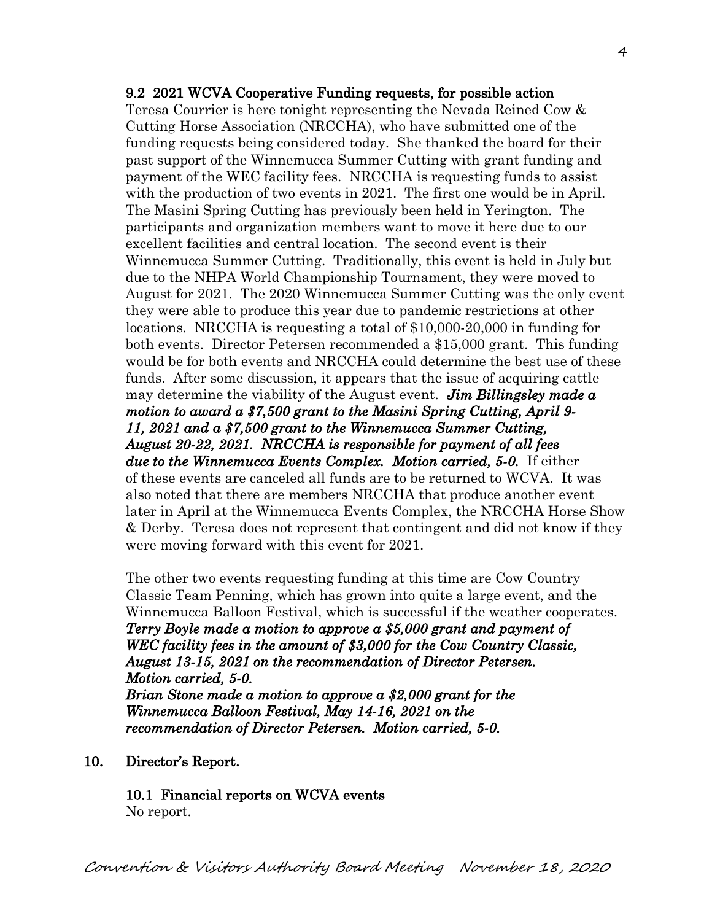#### 9.2 2021 WCVA Cooperative Funding requests, for possible action

Teresa Courrier is here tonight representing the Nevada Reined Cow & Cutting Horse Association (NRCCHA), who have submitted one of the funding requests being considered today. She thanked the board for their past support of the Winnemucca Summer Cutting with grant funding and payment of the WEC facility fees. NRCCHA is requesting funds to assist with the production of two events in 2021. The first one would be in April. The Masini Spring Cutting has previously been held in Yerington. The participants and organization members want to move it here due to our excellent facilities and central location. The second event is their Winnemucca Summer Cutting. Traditionally, this event is held in July but due to the NHPA World Championship Tournament, they were moved to August for 2021. The 2020 Winnemucca Summer Cutting was the only event they were able to produce this year due to pandemic restrictions at other locations. NRCCHA is requesting a total of \$10,000-20,000 in funding for both events. Director Petersen recommended a \$15,000 grant. This funding would be for both events and NRCCHA could determine the best use of these funds. After some discussion, it appears that the issue of acquiring cattle may determine the viability of the August event. *Jim Billingsley made a motion to award a \$7,500 grant to the Masini Spring Cutting, April 9- 11, 2021 and a \$7,500 grant to the Winnemucca Summer Cutting, August 20-22, 2021. NRCCHA is responsible for payment of all fees due to the Winnemucca Events Complex. Motion carried, 5-0.* If either of these events are canceled all funds are to be returned to WCVA. It was also noted that there are members NRCCHA that produce another event later in April at the Winnemucca Events Complex, the NRCCHA Horse Show & Derby. Teresa does not represent that contingent and did not know if they were moving forward with this event for 2021.

The other two events requesting funding at this time are Cow Country Classic Team Penning, which has grown into quite a large event, and the Winnemucca Balloon Festival, which is successful if the weather cooperates. *Terry Boyle made a motion to approve a \$5,000 grant and payment of WEC facility fees in the amount of \$3,000 for the Cow Country Classic, August 13-15, 2021 on the recommendation of Director Petersen. Motion carried, 5-0. Brian Stone made a motion to approve a \$2,000 grant for the Winnemucca Balloon Festival, May 14-16, 2021 on the recommendation of Director Petersen. Motion carried, 5-0.* 

10. Director's Report.

10.1 Financial reports on WCVA events No report.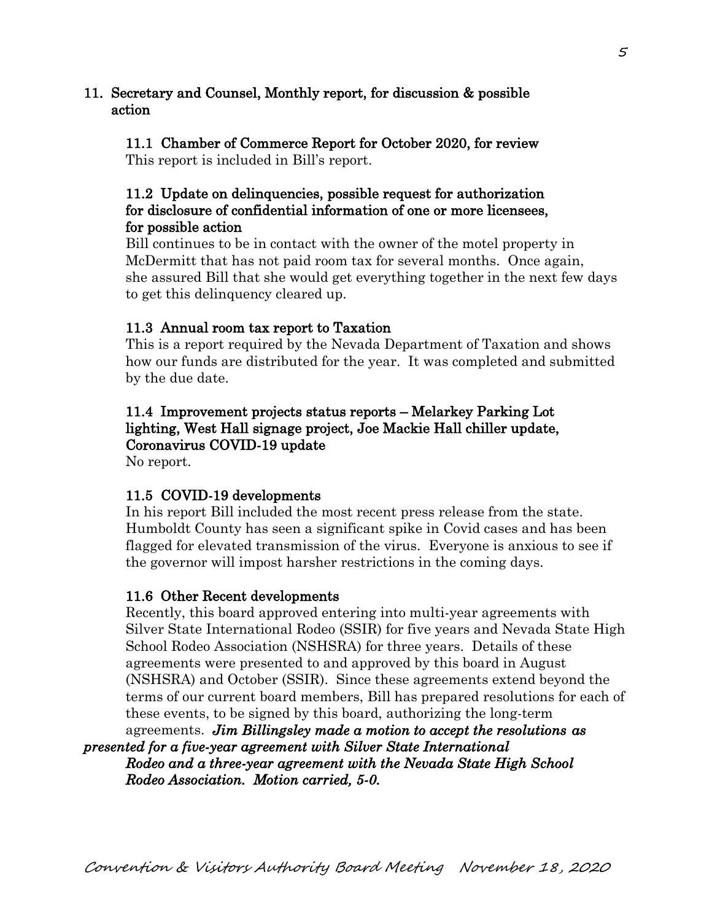# 11. Secretary and Counsel, Monthly report, for discussion & possible action

 11.1 Chamber of Commerce Report for October 2020, for review This report is included in Bill's report.

# 11.2 Update on delinquencies, possible request for authorization for disclosure of confidential information of one or more licensees, for possible action

 Bill continues to be in contact with the owner of the motel property in McDermitt that has not paid room tax for several months. Once again, she assured Bill that she would get everything together in the next few days to get this delinquency cleared up.

# 11.3 Annual room tax report to Taxation

 This is a report required by the Nevada Department of Taxation and shows how our funds are distributed for the year. It was completed and submitted by the due date.

# 11.4 Improvement projects status reports – Melarkey Parking Lot lighting, West Hall signage project, Joe Mackie Hall chiller update, Coronavirus COVID-19 update

No report.

# 11.5 COVID-19 developments

 In his report Bill included the most recent press release from the state. Humboldt County has seen a significant spike in Covid cases and has been flagged for elevated transmission of the virus. Everyone is anxious to see if the governor will impost harsher restrictions in the coming days.

#### 11.6 Other Recent developments

 Recently, this board approved entering into multi-year agreements with Silver State International Rodeo (SSIR) for five years and Nevada State High School Rodeo Association (NSHSRA) for three years. Details of these agreements were presented to and approved by this board in August (NSHSRA) and October (SSIR). Since these agreements extend beyond the terms of our current board members, Bill has prepared resolutions for each of these events, to be signed by this board, authorizing the long-term

agreements. *Jim Billingsley made a motion to accept the resolutions as presented for a five-year agreement with Silver State International Rodeo and a three-year agreement with the Nevada State High School Rodeo Association. Motion carried, 5-0.*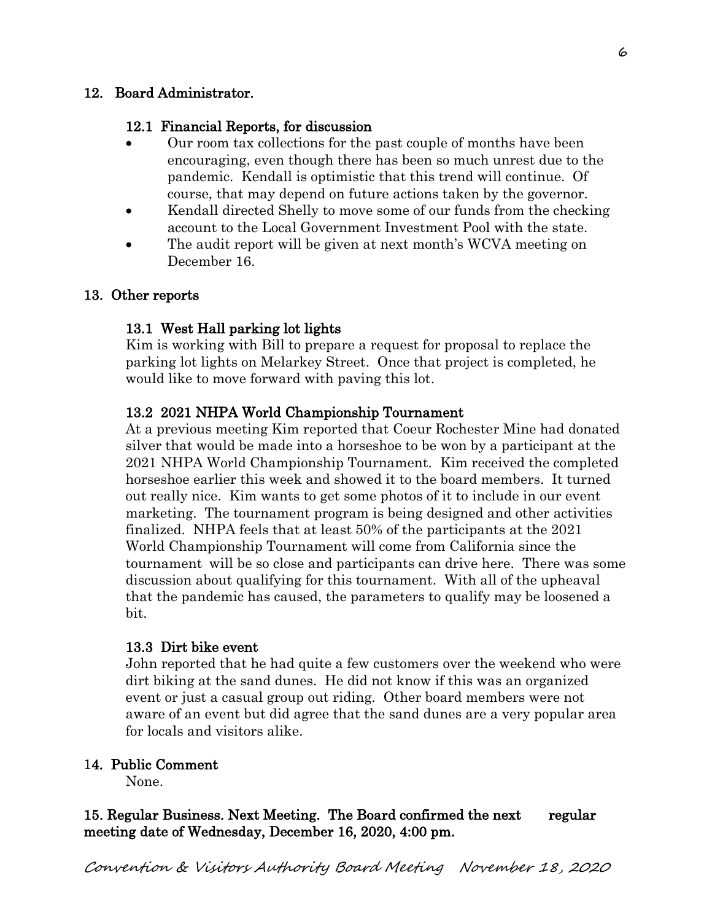# 12. Board Administrator.

# 12.1 Financial Reports, for discussion

- Our room tax collections for the past couple of months have been encouraging, even though there has been so much unrest due to the pandemic. Kendall is optimistic that this trend will continue. Of course, that may depend on future actions taken by the governor.
- Kendall directed Shelly to move some of our funds from the checking account to the Local Government Investment Pool with the state.
- The audit report will be given at next month's WCVA meeting on December 16.

# 13. Other reports

# 13.1 West Hall parking lot lights

 Kim is working with Bill to prepare a request for proposal to replace the parking lot lights on Melarkey Street. Once that project is completed, he would like to move forward with paving this lot.

# 13.2 2021 NHPA World Championship Tournament

 At a previous meeting Kim reported that Coeur Rochester Mine had donated silver that would be made into a horseshoe to be won by a participant at the 2021 NHPA World Championship Tournament. Kim received the completed horseshoe earlier this week and showed it to the board members. It turned out really nice. Kim wants to get some photos of it to include in our event marketing. The tournament program is being designed and other activities finalized. NHPA feels that at least 50% of the participants at the 2021 World Championship Tournament will come from California since the tournament will be so close and participants can drive here. There was some discussion about qualifying for this tournament. With all of the upheaval that the pandemic has caused, the parameters to qualify may be loosened a bit.

#### 13.3 Dirt bike event

John reported that he had quite a few customers over the weekend who were dirt biking at the sand dunes. He did not know if this was an organized event or just a casual group out riding. Other board members were not aware of an event but did agree that the sand dunes are a very popular area for locals and visitors alike.

## 14. Public Comment

None.

# 15. Regular Business. Next Meeting. The Board confirmed the next regular meeting date of Wednesday, December 16, 2020, 4:00 pm.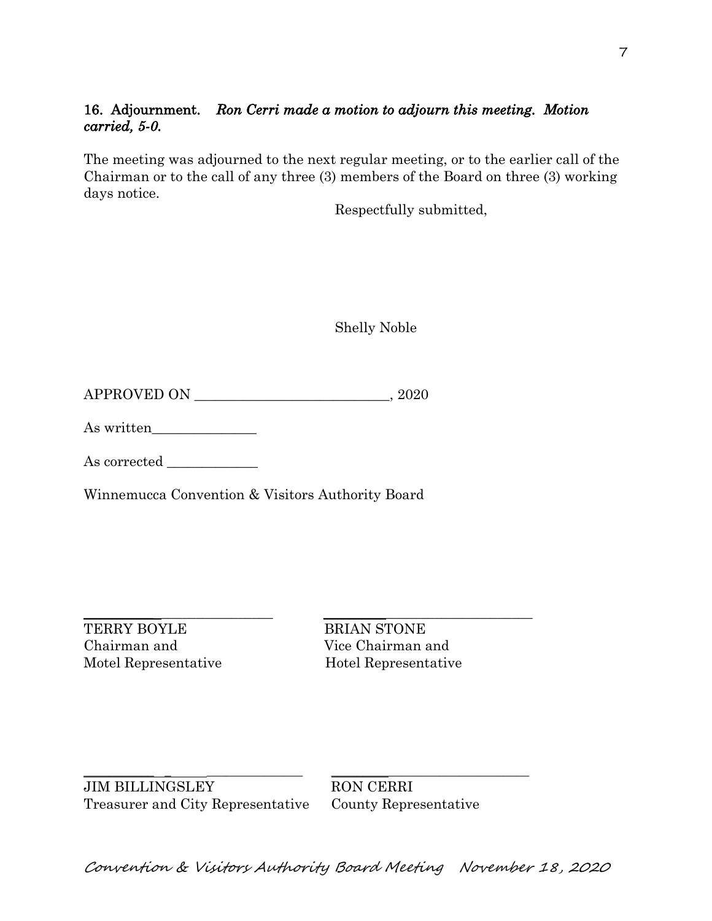# 16. Adjournment. *Ron Cerri made a motion to adjourn this meeting. Motion carried, 5-0.*

The meeting was adjourned to the next regular meeting, or to the earlier call of the Chairman or to the call of any three (3) members of the Board on three (3) working days notice.

Respectfully submitted,

Shelly Noble

APPROVED ON \_\_\_\_\_\_\_\_\_\_\_\_\_\_\_\_\_\_\_\_\_\_\_\_\_\_\_\_, 2020

As written\_\_\_\_\_\_\_\_\_\_\_\_\_\_\_

As corrected \_\_\_\_\_\_\_\_\_\_\_\_\_

Winnemucca Convention & Visitors Authority Board

\_\_\_\_\_\_\_\_\_\_ \_\_\_\_\_\_\_\_\_\_\_\_\_\_\_\_ \_\_\_\_\_\_\_\_\_\_\_\_\_\_\_\_\_\_\_\_\_\_\_\_\_\_\_\_\_\_

TERRY BOYLE BRIAN STONE Chairman and Vice Chairman and Motel Representative Hotel Representative

JIM BILLINGSLEY RON CERRI Treasurer and City Representative County Representative

 $\_$  , and the set of the set of the set of the set of the set of the set of the set of the set of the set of the set of the set of the set of the set of the set of the set of the set of the set of the set of the set of th